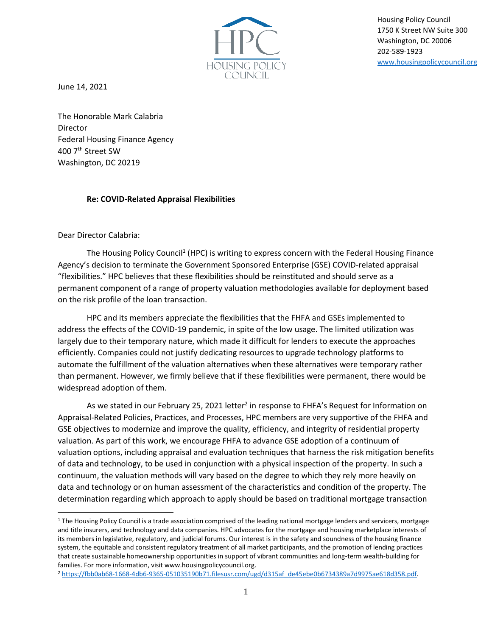

Housing Policy Council 1750 K Street NW Suite 300 Washington, DC 20006 202-589-1923 [www.housingpolicycouncil.org](http://www.housingpolicycouncil.org/)

June 14, 2021

The Honorable Mark Calabria Director Federal Housing Finance Agency 400 7<sup>th</sup> Street SW Washington, DC 20219

## **Re: COVID-Related Appraisal Flexibilities**

## Dear Director Calabria:

The Housing Policy Council<sup>1</sup> (HPC) is writing to express concern with the Federal Housing Finance Agency's decision to terminate the Government Sponsored Enterprise (GSE) COVID-related appraisal "flexibilities." HPC believes that these flexibilities should be reinstituted and should serve as a permanent component of a range of property valuation methodologies available for deployment based on the risk profile of the loan transaction.

HPC and its members appreciate the flexibilities that the FHFA and GSEs implemented to address the effects of the COVID-19 pandemic, in spite of the low usage. The limited utilization was largely due to their temporary nature, which made it difficult for lenders to execute the approaches efficiently. Companies could not justify dedicating resources to upgrade technology platforms to automate the fulfillment of the valuation alternatives when these alternatives were temporary rather than permanent. However, we firmly believe that if these flexibilities were permanent, there would be widespread adoption of them.

As we stated in our February 25, 2021 letter<sup>2</sup> in response to FHFA's Request for Information on Appraisal-Related Policies, Practices, and Processes, HPC members are very supportive of the FHFA and GSE objectives to modernize and improve the quality, efficiency, and integrity of residential property valuation. As part of this work, we encourage FHFA to advance GSE adoption of a continuum of valuation options, including appraisal and evaluation techniques that harness the risk mitigation benefits of data and technology, to be used in conjunction with a physical inspection of the property. In such a continuum, the valuation methods will vary based on the degree to which they rely more heavily on data and technology or on human assessment of the characteristics and condition of the property. The determination regarding which approach to apply should be based on traditional mortgage transaction

<sup>&</sup>lt;sup>1</sup> The Housing Policy Council is a trade association comprised of the leading national mortgage lenders and servicers, mortgage and title insurers, and technology and data companies. HPC advocates for the mortgage and housing marketplace interests of its members in legislative, regulatory, and judicial forums. Our interest is in the safety and soundness of the housing finance system, the equitable and consistent regulatory treatment of all market participants, and the promotion of lending practices that create sustainable homeownership opportunities in support of vibrant communities and long-term wealth-building for families. For more information, visit www.housingpolicycouncil.org.

<sup>2</sup> [https://fbb0ab68-1668-4db6-9365-051035190b71.filesusr.com/ugd/d315af\\_de45ebe0b6734389a7d9975ae618d358.pdf.](https://fbb0ab68-1668-4db6-9365-051035190b71.filesusr.com/ugd/d315af_de45ebe0b6734389a7d9975ae618d358.pdf)